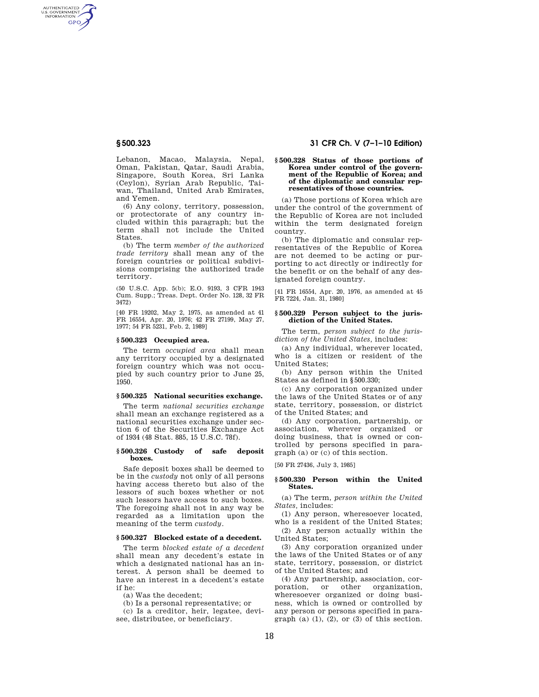AUTHENTICATED<br>U.S. GOVERNMENT<br>INFORMATION **GPO** 

> Lebanon, Macao, Malaysia, Nepal, Oman, Pakistan, Qatar, Saudi Arabia, Singapore, South Korea, Sri Lanka (Ceylon), Syrian Arab Republic, Taiwan, Thailand, United Arab Emirates, and Yemen.

> (6) Any colony, territory, possession, or protectorate of any country included within this paragraph; but the term shall not include the United States.

> (b) The term *member of the authorized trade territory* shall mean any of the foreign countries or political subdivisions comprising the authorized trade territory.

(50 U.S.C. App. 5(b); E.O. 9193, 3 CFR 1943 Cum. Supp.; Treas. Dept. Order No. 128, 32 FR 3472)

[40 FR 19202, May 2, 1975, as amended at 41 FR 16554, Apr. 20, 1976; 42 FR 27199, May 27, 1977; 54 FR 5231, Feb. 2, 1989]

#### **§ 500.323 Occupied area.**

The term *occupied area* shall mean any territory occupied by a designated foreign country which was not occupied by such country prior to June 25, 1950.

# **§ 500.325 National securities exchange.**

The term *national securities exchange*  shall mean an exchange registered as a national securities exchange under section 6 of the Securities Exchange Act of 1934 (48 Stat. 885, 15 U.S.C. 78f).

#### **§ 500.326 Custody of safe deposit boxes.**

Safe deposit boxes shall be deemed to be in the *custody* not only of all persons having access thereto but also of the lessors of such boxes whether or not such lessors have access to such boxes. The foregoing shall not in any way be regarded as a limitation upon the meaning of the term *custody*.

# **§ 500.327 Blocked estate of a decedent.**

The term *blocked estate of a decedent*  shall mean any decedent's estate in which a designated national has an interest. A person shall be deemed to have an interest in a decedent's estate if he:

(a) Was the decedent;

(b) Is a personal representative; or (c) Is a creditor, heir, legatee, devi-

see, distributee, or beneficiary.

# **§ 500.323 31 CFR Ch. V (7–1–10 Edition)**

#### **§ 500.328 Status of those portions of Korea under control of the government of the Republic of Korea; and of the diplomatic and consular representatives of those countries.**

(a) Those portions of Korea which are under the control of the government of the Republic of Korea are not included within the term designated foreign country.

(b) The diplomatic and consular representatives of the Republic of Korea are not deemed to be acting or purporting to act directly or indirectly for the benefit or on the behalf of any designated foreign country.

[41 FR 16554, Apr. 20, 1976, as amended at 45 FR 7224, Jan. 31, 1980]

## **§ 500.329 Person subject to the jurisdiction of the United States.**

The term, *person subject to the jurisdiction of the United States,* includes:

(a) Any individual, wherever located, who is a citizen or resident of the United States;

(b) Any person within the United States as defined in §500.330;

(c) Any corporation organized under the laws of the United States or of any state, territory, possession, or district of the United States; and

(d) Any corporation, partnership, or association, wherever organized or doing business, that is owned or controlled by persons specified in paragraph (a) or (c) of this section.

[50 FR 27436, July 3, 1985]

# **§ 500.330 Person within the United States.**

(a) The term, *person within the United States,* includes:

(1) Any person, wheresoever located, who is a resident of the United States;

(2) Any person actually within the United States;

(3) Any corporation organized under the laws of the United States or of any state, territory, possession, or district of the United States; and

(4) Any partnership, association, corporation, or other organization, wheresoever organized or doing business, which is owned or controlled by any person or persons specified in paragraph (a)  $(1)$ ,  $(2)$ , or  $(3)$  of this section.